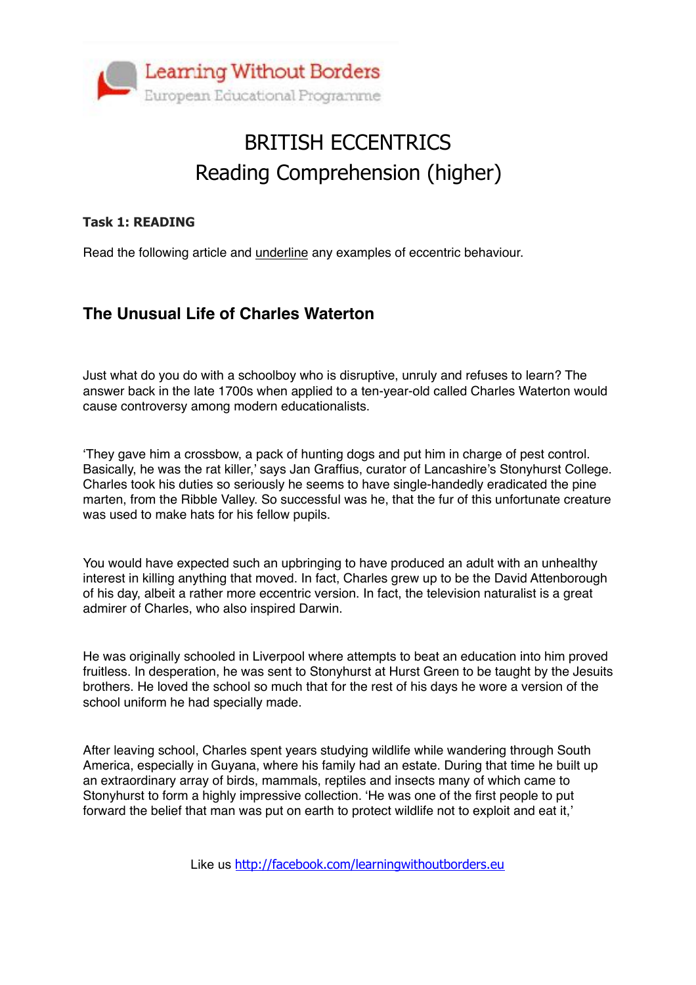

# BRITISH ECCENTRICS Reading Comprehension (higher)

#### **Task 1: READING**

Read the following article and underline any examples of eccentric behaviour.

### **The Unusual Life of Charles Waterton**

Just what do you do with a schoolboy who is disruptive, unruly and refuses to learn? The answer back in the late 1700s when applied to a ten-year-old called Charles Waterton would cause controversy among modern educationalists.

'They gave him a crossbow, a pack of hunting dogs and put him in charge of pest control. Basically, he was the rat killer,' says Jan Graffius, curator of Lancashire's Stonyhurst College. Charles took his duties so seriously he seems to have single-handedly eradicated the pine marten, from the Ribble Valley. So successful was he, that the fur of this unfortunate creature was used to make hats for his fellow pupils.

You would have expected such an upbringing to have produced an adult with an unhealthy interest in killing anything that moved. In fact, Charles grew up to be the David Attenborough of his day, albeit a rather more eccentric version. In fact, the television naturalist is a great admirer of Charles, who also inspired Darwin.

He was originally schooled in Liverpool where attempts to beat an education into him proved fruitless. In desperation, he was sent to Stonyhurst at Hurst Green to be taught by the Jesuits brothers. He loved the school so much that for the rest of his days he wore a version of the school uniform he had specially made.

After leaving school, Charles spent years studying wildlife while wandering through South America, especially in Guyana, where his family had an estate. During that time he built up an extraordinary array of birds, mammals, reptiles and insects many of which came to Stonyhurst to form a highly impressive collection. 'He was one of the first people to put forward the belief that man was put on earth to protect wildlife not to exploit and eat it,'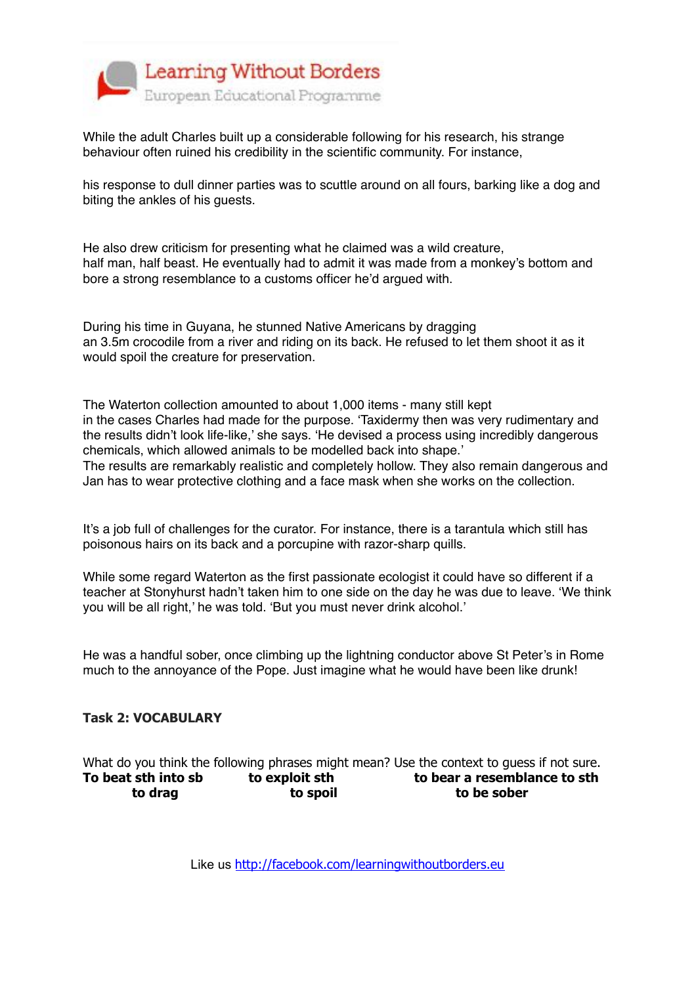

While the adult Charles built up a considerable following for his research, his strange behaviour often ruined his credibility in the scientific community. For instance,

his response to dull dinner parties was to scuttle around on all fours, barking like a dog and biting the ankles of his guests.

He also drew criticism for presenting what he claimed was a wild creature, half man, half beast. He eventually had to admit it was made from a monkey's bottom and bore a strong resemblance to a customs officer he'd argued with.

During his time in Guyana, he stunned Native Americans by dragging an 3.5m crocodile from a river and riding on its back. He refused to let them shoot it as it would spoil the creature for preservation.

The Waterton collection amounted to about 1,000 items - many still kept in the cases Charles had made for the purpose. 'Taxidermy then was very rudimentary and the results didn't look life-like,' she says. 'He devised a process using incredibly dangerous chemicals, which allowed animals to be modelled back into shape.' The results are remarkably realistic and completely hollow. They also remain dangerous and Jan has to wear protective clothing and a face mask when she works on the collection.

It's a job full of challenges for the curator. For instance, there is a tarantula which still has poisonous hairs on its back and a porcupine with razor-sharp quills.

While some regard Waterton as the first passionate ecologist it could have so different if a teacher at Stonyhurst hadn't taken him to one side on the day he was due to leave. 'We think you will be all right,' he was told. 'But you must never drink alcohol.'

He was a handful sober, once climbing up the lightning conductor above St Peter's in Rome much to the annoyance of the Pope. Just imagine what he would have been like drunk!

#### **Task 2: VOCABULARY**

What do you think the following phrases might mean? Use the context to guess if not sure. **To beat sth into sb to exploit sth to bear a resemblance to sth to drag to spoil to be sober**

Like us <http://facebook.com/learningwithoutborders.eu>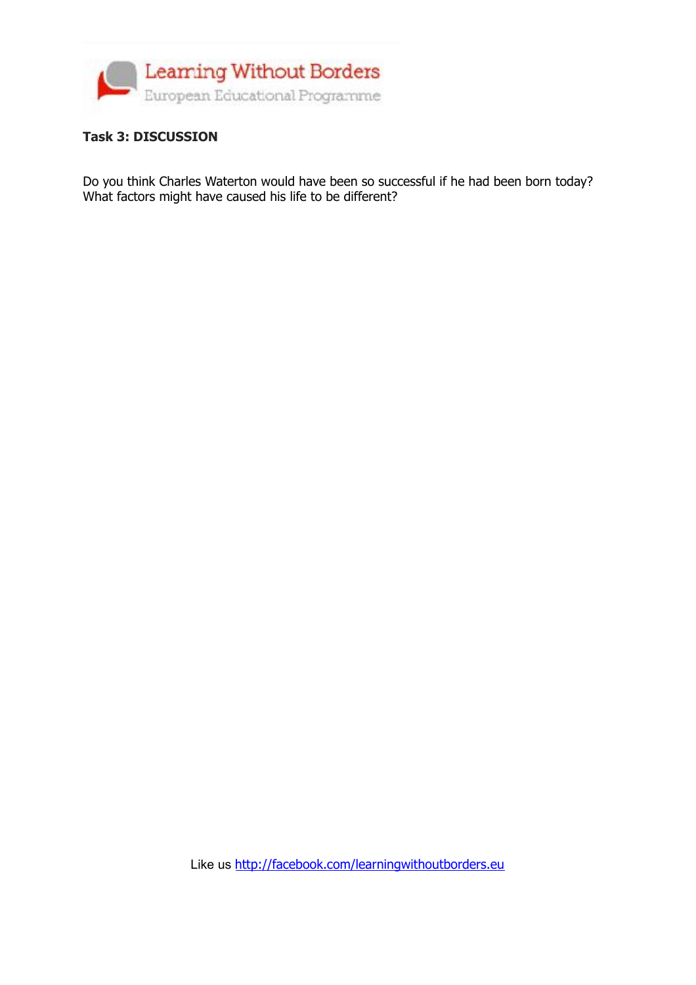

#### **Task 3: DISCUSSION**

Do you think Charles Waterton would have been so successful if he had been born today? What factors might have caused his life to be different?